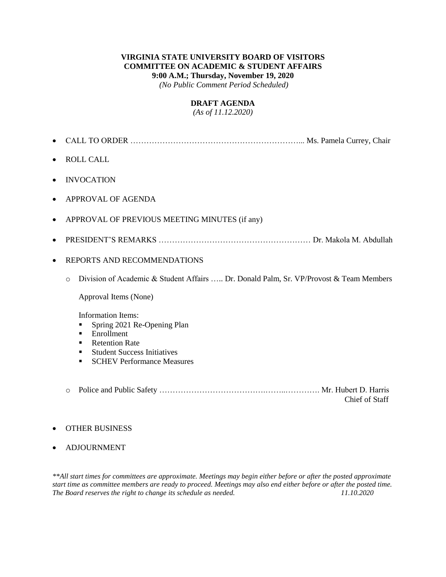#### **VIRGINIA STATE UNIVERSITY BOARD OF VISITORS COMMITTEE ON ACADEMIC & STUDENT AFFAIRS 9:00 A.M.; Thursday, November 19, 2020**

*(No Public Comment Period Scheduled)*

#### **DRAFT AGENDA**

*(As of 11.12.2020)*

- CALL TO ORDER ………………………………………………………... Ms. Pamela Currey, Chair
- ROLL CALL
- INVOCATION
- APPROVAL OF AGENDA
- APPROVAL OF PREVIOUS MEETING MINUTES (if any)
- PRESIDENT'S REMARKS ………………………………………………… Dr. Makola M. Abdullah
- REPORTS AND RECOMMENDATIONS
	- o Division of Academic & Student Affairs ….. Dr. Donald Palm, Sr. VP/Provost & Team Members

Approval Items (None)

Information Items:

- **Spring 2021 Re-Opening Plan**
- **Enrollment**
- **Retention Rate**
- Student Success Initiatives
- **SCHEV Performance Measures**
- o Police and Public Safety ………………………………….……..…………. Mr. Hubert D. Harris Chief of Staff

#### OTHER BUSINESS

ADJOURNMENT

*\*\*All start times for committees are approximate. Meetings may begin either before or after the posted approximate start time as committee members are ready to proceed. Meetings may also end either before or after the posted time. The Board reserves the right to change its schedule as needed.*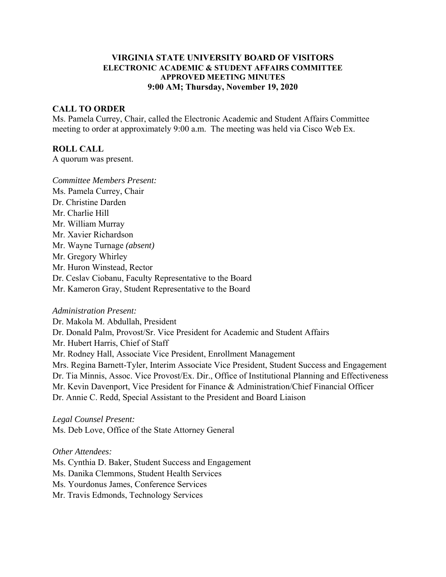#### **VIRGINIA STATE UNIVERSITY BOARD OF VISITORS ELECTRONIC ACADEMIC & STUDENT AFFAIRS COMMITTEE APPROVED MEETING MINUTES 9:00 AM; Thursday, November 19, 2020**

#### **CALL TO ORDER**

Ms. Pamela Currey, Chair, called the Electronic Academic and Student Affairs Committee meeting to order at approximately 9:00 a.m. The meeting was held via Cisco Web Ex.

#### **ROLL CALL**

A quorum was present.

*Committee Members Present:*  Ms. Pamela Currey, Chair Dr. Christine Darden Mr. Charlie Hill Mr. William Murray Mr. Xavier Richardson Mr. Wayne Turnage *(absent)* Mr. Gregory Whirley Mr. Huron Winstead, Rector Dr. Ceslav Ciobanu, Faculty Representative to the Board Mr. Kameron Gray, Student Representative to the Board

#### *Administration Present:*

Dr. Makola M. Abdullah, President Dr. Donald Palm, Provost/Sr. Vice President for Academic and Student Affairs Mr. Hubert Harris, Chief of Staff Mr. Rodney Hall, Associate Vice President, Enrollment Management Mrs. Regina Barnett-Tyler, Interim Associate Vice President, Student Success and Engagement Dr. Tia Minnis, Assoc. Vice Provost/Ex. Dir., Office of Institutional Planning and Effectiveness Mr. Kevin Davenport, Vice President for Finance & Administration/Chief Financial Officer Dr. Annie C. Redd, Special Assistant to the President and Board Liaison

*Legal Counsel Present:*  Ms. Deb Love, Office of the State Attorney General

*Other Attendees:*  Ms. Cynthia D. Baker, Student Success and Engagement Ms. Danika Clemmons, Student Health Services Ms. Yourdonus James, Conference Services Mr. Travis Edmonds, Technology Services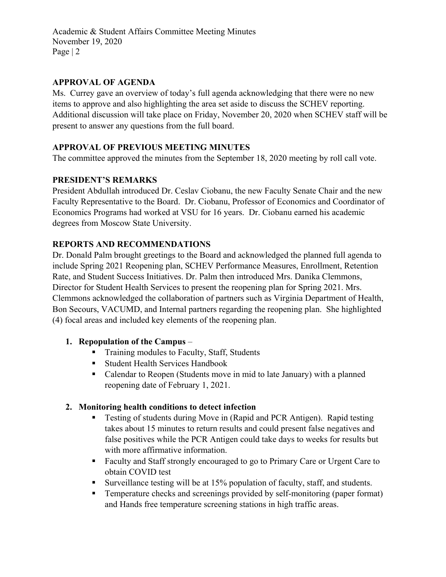## **APPROVAL OF AGENDA**

Ms. Currey gave an overview of today's full agenda acknowledging that there were no new items to approve and also highlighting the area set aside to discuss the SCHEV reporting. Additional discussion will take place on Friday, November 20, 2020 when SCHEV staff will be present to answer any questions from the full board.

## **APPROVAL OF PREVIOUS MEETING MINUTES**

The committee approved the minutes from the September 18, 2020 meeting by roll call vote.

## **PRESIDENT'S REMARKS**

President Abdullah introduced Dr. Ceslav Ciobanu, the new Faculty Senate Chair and the new Faculty Representative to the Board. Dr. Ciobanu, Professor of Economics and Coordinator of Economics Programs had worked at VSU for 16 years. Dr. Ciobanu earned his academic degrees from Moscow State University.

## **REPORTS AND RECOMMENDATIONS**

Dr. Donald Palm brought greetings to the Board and acknowledged the planned full agenda to include Spring 2021 Reopening plan, SCHEV Performance Measures, Enrollment, Retention Rate, and Student Success Initiatives. Dr. Palm then introduced Mrs. Danika Clemmons, Director for Student Health Services to present the reopening plan for Spring 2021. Mrs. Clemmons acknowledged the collaboration of partners such as Virginia Department of Health, Bon Secours, VACUMD, and Internal partners regarding the reopening plan. She highlighted (4) focal areas and included key elements of the reopening plan.

### **1. Repopulation of the Campus** –

- **Training modules to Faculty, Staff, Students**
- **Student Health Services Handbook**
- Calendar to Reopen (Students move in mid to late January) with a planned reopening date of February 1, 2021.

# **2. Monitoring health conditions to detect infection**

- Testing of students during Move in (Rapid and PCR Antigen). Rapid testing takes about 15 minutes to return results and could present false negatives and false positives while the PCR Antigen could take days to weeks for results but with more affirmative information.
- Faculty and Staff strongly encouraged to go to Primary Care or Urgent Care to obtain COVID test
- Surveillance testing will be at 15% population of faculty, staff, and students.
- **Temperature checks and screenings provided by self-monitoring (paper format)** and Hands free temperature screening stations in high traffic areas.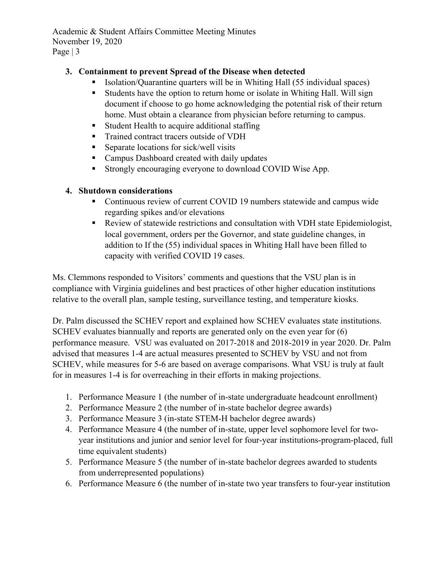### **3. Containment to prevent Spread of the Disease when detected**

- Isolation/Quarantine quarters will be in Whiting Hall (55 individual spaces)
- Students have the option to return home or isolate in Whiting Hall. Will sign document if choose to go home acknowledging the potential risk of their return home. Must obtain a clearance from physician before returning to campus.
- **Student Health to acquire additional staffing**
- Trained contract tracers outside of VDH
- Separate locations for sick/well visits
- **Campus Dashboard created with daily updates**
- Strongly encouraging everyone to download COVID Wise App.

### **4. Shutdown considerations**

- Continuous review of current COVID 19 numbers statewide and campus wide regarding spikes and/or elevations
- Review of statewide restrictions and consultation with VDH state Epidemiologist, local government, orders per the Governor, and state guideline changes, in addition to If the (55) individual spaces in Whiting Hall have been filled to capacity with verified COVID 19 cases.

Ms. Clemmons responded to Visitors' comments and questions that the VSU plan is in compliance with Virginia guidelines and best practices of other higher education institutions relative to the overall plan, sample testing, surveillance testing, and temperature kiosks.

Dr. Palm discussed the SCHEV report and explained how SCHEV evaluates state institutions. SCHEV evaluates biannually and reports are generated only on the even year for (6) performance measure. VSU was evaluated on 2017-2018 and 2018-2019 in year 2020. Dr. Palm advised that measures 1-4 are actual measures presented to SCHEV by VSU and not from SCHEV, while measures for 5-6 are based on average comparisons. What VSU is truly at fault for in measures 1-4 is for overreaching in their efforts in making projections.

- 1. Performance Measure 1 (the number of in-state undergraduate headcount enrollment)
- 2. Performance Measure 2 (the number of in-state bachelor degree awards)
- 3. Performance Measure 3 (in-state STEM-H bachelor degree awards)
- 4. Performance Measure 4 (the number of in-state, upper level sophomore level for twoyear institutions and junior and senior level for four-year institutions-program-placed, full time equivalent students)
- 5. Performance Measure 5 (the number of in-state bachelor degrees awarded to students from underrepresented populations)
- 6. Performance Measure 6 (the number of in-state two year transfers to four-year institution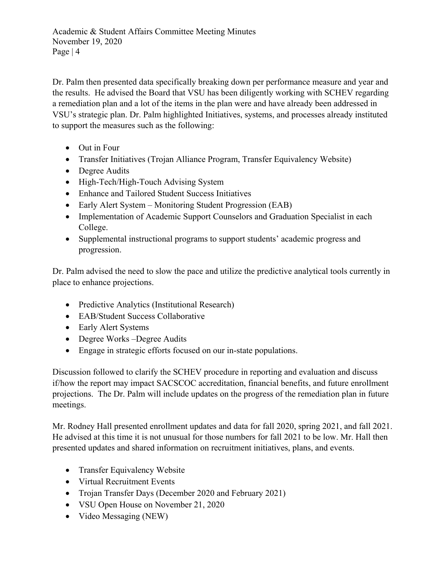Dr. Palm then presented data specifically breaking down per performance measure and year and the results. He advised the Board that VSU has been diligently working with SCHEV regarding a remediation plan and a lot of the items in the plan were and have already been addressed in VSU's strategic plan. Dr. Palm highlighted Initiatives, systems, and processes already instituted to support the measures such as the following:

- Out in Four
- Transfer Initiatives (Trojan Alliance Program, Transfer Equivalency Website)
- Degree Audits
- High-Tech/High-Touch Advising System
- Enhance and Tailored Student Success Initiatives
- Early Alert System Monitoring Student Progression (EAB)
- Implementation of Academic Support Counselors and Graduation Specialist in each College.
- Supplemental instructional programs to support students' academic progress and progression.

Dr. Palm advised the need to slow the pace and utilize the predictive analytical tools currently in place to enhance projections.

- Predictive Analytics (Institutional Research)
- EAB/Student Success Collaborative
- Early Alert Systems
- Degree Works –Degree Audits
- Engage in strategic efforts focused on our in-state populations.

Discussion followed to clarify the SCHEV procedure in reporting and evaluation and discuss if/how the report may impact SACSCOC accreditation, financial benefits, and future enrollment projections. The Dr. Palm will include updates on the progress of the remediation plan in future meetings.

Mr. Rodney Hall presented enrollment updates and data for fall 2020, spring 2021, and fall 2021. He advised at this time it is not unusual for those numbers for fall 2021 to be low. Mr. Hall then presented updates and shared information on recruitment initiatives, plans, and events.

- Transfer Equivalency Website
- Virtual Recruitment Events
- Trojan Transfer Days (December 2020 and February 2021)
- VSU Open House on November 21, 2020
- Video Messaging (NEW)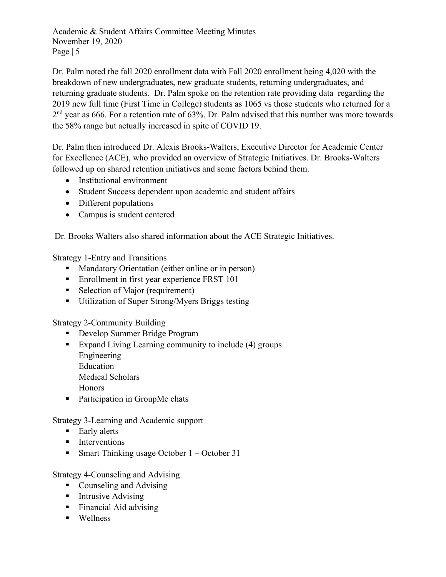Dr. Palm noted the fall 2020 enrollment data with Fall 2020 enrollment being 4,020 with the breakdown of new undergraduates, new graduate students, returning undergraduates, and returning graduate students. Dr. Palm spoke on the retention rate providing data regarding the 2019 new full time (First Time in College) students as 1065 vs those students who returned for a 2<sup>nd</sup> year as 666. For a retention rate of 63%. Dr. Palm advised that this number was more towards the 58% range but actually increased in spite of COVID 19.

Dr. Palm then introduced Dr. Alexis Brooks-Walters, Executive Director for Academic Center for Excellence (ACE), who provided an overview of Strategic Initiatives. Dr. Brooks-Walters followed up on shared retention initiatives and some factors behind them.

- Institutional environment
- Student Success dependent upon academic and student affairs
- Different populations
- Campus is student centered

Dr. Brooks Walters also shared information about the ACE Strategic Initiatives.

Strategy 1-Entry and Transitions

- **Mandatory Orientation (either online or in person)**
- **Enrollment in first year experience FRST 101**
- Selection of Major (requirement)
- Utilization of Super Strong/Myers Briggs testing

Strategy 2-Community Building

- Develop Summer Bridge Program
- Expand Living Learning community to include (4) groups Engineering Education Medical Scholars

Honors

■ Participation in GroupMe chats

Strategy 3-Learning and Academic support

- **Early alerts**
- **I**nterventions
- Smart Thinking usage October  $1 -$ October 31

Strategy 4-Counseling and Advising

- Counseling and Advising
- **Intrusive Advising**
- Financial Aid advising
- **Wellness**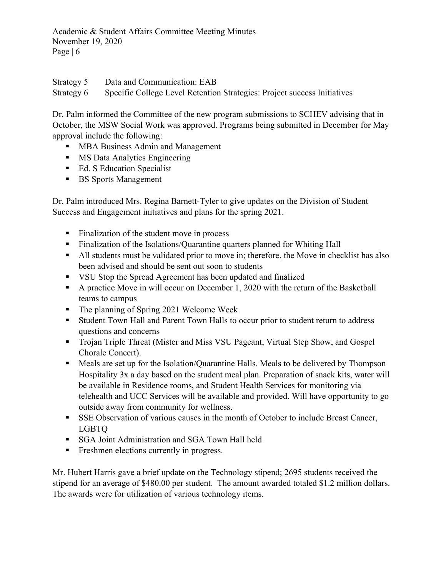Strategy 5 Data and Communication: EAB Strategy 6 Specific College Level Retention Strategies: Project success Initiatives

Dr. Palm informed the Committee of the new program submissions to SCHEV advising that in October, the MSW Social Work was approved. Programs being submitted in December for May approval include the following:

- **MBA Business Admin and Management**
- **MS Data Analytics Engineering**
- Ed. S Education Specialist
- **BS** Sports Management

Dr. Palm introduced Mrs. Regina Barnett-Tyler to give updates on the Division of Student Success and Engagement initiatives and plans for the spring 2021.

- Finalization of the student move in process
- Finalization of the Isolations/Quarantine quarters planned for Whiting Hall
- All students must be validated prior to move in; therefore, the Move in checklist has also been advised and should be sent out soon to students
- VSU Stop the Spread Agreement has been updated and finalized
- A practice Move in will occur on December 1, 2020 with the return of the Basketball teams to campus
- The planning of Spring 2021 Welcome Week
- Student Town Hall and Parent Town Halls to occur prior to student return to address questions and concerns
- Trojan Triple Threat (Mister and Miss VSU Pageant, Virtual Step Show, and Gospel Chorale Concert).
- Meals are set up for the Isolation/Quarantine Halls. Meals to be delivered by Thompson Hospitality 3x a day based on the student meal plan. Preparation of snack kits, water will be available in Residence rooms, and Student Health Services for monitoring via telehealth and UCC Services will be available and provided. Will have opportunity to go outside away from community for wellness.
- SSE Observation of various causes in the month of October to include Breast Cancer, LGBTQ
- **SGA Joint Administration and SGA Town Hall held**
- Freshmen elections currently in progress.

Mr. Hubert Harris gave a brief update on the Technology stipend; 2695 students received the stipend for an average of \$480.00 per student. The amount awarded totaled \$1.2 million dollars. The awards were for utilization of various technology items.